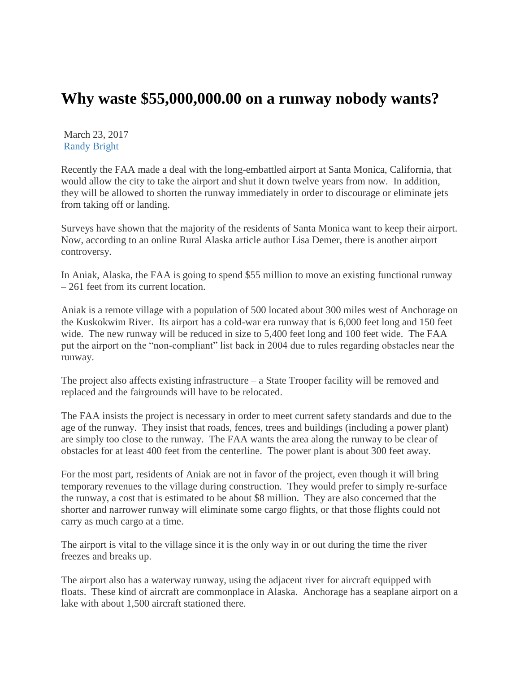## **Why waste \$55,000,000.00 on a runway nobody wants?**

March 23, 2017 [Randy Bright](http://tulsabeacon.com/author/randy-bright/)

Recently the FAA made a deal with the long-embattled airport at Santa Monica, California, that would allow the city to take the airport and shut it down twelve years from now. In addition, they will be allowed to shorten the runway immediately in order to discourage or eliminate jets from taking off or landing.

Surveys have shown that the majority of the residents of Santa Monica want to keep their airport. Now, according to an online Rural Alaska article author Lisa Demer, there is another airport controversy.

In Aniak, Alaska, the FAA is going to spend \$55 million to move an existing functional runway – 261 feet from its current location.

Aniak is a remote village with a population of 500 located about 300 miles west of Anchorage on the Kuskokwim River. Its airport has a cold-war era runway that is 6,000 feet long and 150 feet wide. The new runway will be reduced in size to 5,400 feet long and 100 feet wide. The FAA put the airport on the "non-compliant" list back in 2004 due to rules regarding obstacles near the runway.

The project also affects existing infrastructure – a State Trooper facility will be removed and replaced and the fairgrounds will have to be relocated.

The FAA insists the project is necessary in order to meet current safety standards and due to the age of the runway. They insist that roads, fences, trees and buildings (including a power plant) are simply too close to the runway. The FAA wants the area along the runway to be clear of obstacles for at least 400 feet from the centerline. The power plant is about 300 feet away.

For the most part, residents of Aniak are not in favor of the project, even though it will bring temporary revenues to the village during construction. They would prefer to simply re-surface the runway, a cost that is estimated to be about \$8 million. They are also concerned that the shorter and narrower runway will eliminate some cargo flights, or that those flights could not carry as much cargo at a time.

The airport is vital to the village since it is the only way in or out during the time the river freezes and breaks up.

The airport also has a waterway runway, using the adjacent river for aircraft equipped with floats. These kind of aircraft are commonplace in Alaska. Anchorage has a seaplane airport on a lake with about 1,500 aircraft stationed there.